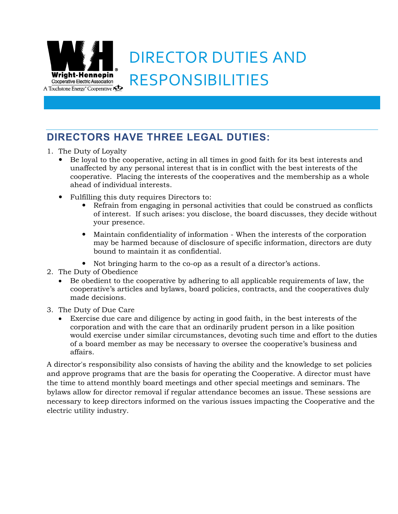

## DIRECTOR DUTIES AND RESPONSIBILITIES

## **DIRECTORS HAVE THREE LEGAL DUTIES:**

- 1. The Duty of Loyalty
	- Be loyal to the cooperative, acting in all times in good faith for its best interests and unaffected by any personal interest that is in conflict with the best interests of the cooperative. Placing the interests of the cooperatives and the membership as a whole ahead of individual interests.
	- Fulfilling this duty requires Directors to:
		- Refrain from engaging in personal activities that could be construed as conflicts of interest. If such arises: you disclose, the board discusses, they decide without your presence.
		- Maintain confidentiality of information When the interests of the corporation may be harmed because of disclosure of specific information, directors are duty bound to maintain it as confidential.
		- Not bringing harm to the co-op as a result of a director's actions.
- 2. The Duty of Obedience
	- Be obedient to the cooperative by adhering to all applicable requirements of law, the cooperative's articles and bylaws, board policies, contracts, and the cooperatives duly made decisions.
- 3. The Duty of Due Care
	- Exercise due care and diligence by acting in good faith, in the best interests of the corporation and with the care that an ordinarily prudent person in a like position would exercise under similar circumstances, devoting such time and effort to the duties of a board member as may be necessary to oversee the cooperative's business and affairs.

A director's responsibility also consists of having the ability and the knowledge to set policies and approve programs that are the basis for operating the Cooperative. A director must have the time to attend monthly board meetings and other special meetings and seminars. The bylaws allow for director removal if regular attendance becomes an issue. These sessions are necessary to keep directors informed on the various issues impacting the Cooperative and the electric utility industry.